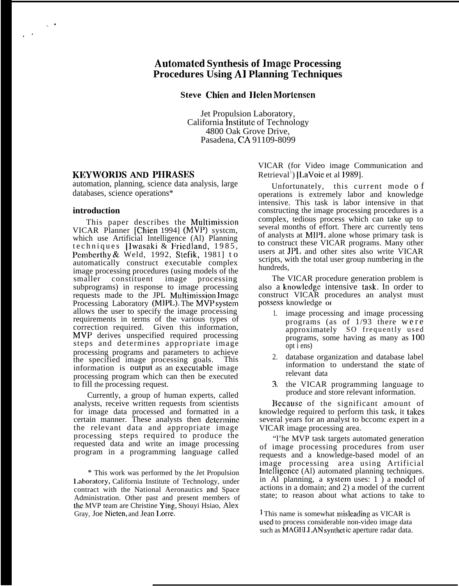# **Automitcd Synthesis of lnmgc Processing Procedures Using AI Planning Techniques**

**Steve (Men and ]Ic]cn Mortensen**

Jet Propulsion Laboratory, California lnstitutc of Technology 4800 Oak Grove Drive, Pasadena, CA 91109-8099

#### **KEYWORDS AND PHRASES**

automation, planning, science data analysis, large databases, science operations\*

#### **introduction**

. .

.-

This paper describes the Multimission VICAR Planner [Chien 1994] (MVP) system, which use Artificial Intelligence (Al) Planning techniques [Iwasaki & Friedland, 1985 , Pemberthy & Weld, 1992, Stefik, 1981] to automatically construct executable complex image processing procedures (using models of the smaller constituent image processing subprograms) in response to image processing requests made to the JPL Multimission lmagc Processing Laboratory (MIPL). The MVP system allows the user to specify the image processing requirements in terms of the various types of correction required. Given this information, MVP derives unspecified required processing steps and determines appropriate image processing programs and parameters to achieve the specified image processing goals. This information is output as an executable image processing program which can then be executed to fill the processing request.

Currently, a group of human experts, called analysts, receive written requests from scientists for image data processed and formatted in a certain manner. These analysts then dctcrminc the relevant data and appropriate image processing steps required to produce the requested data and write an image processing program in a programming language called

\* This work was performed by the Jet Propulsion 1.aboratory, California Institute of Technology, under contract with the National Aeronautics and Space Administration. Other past and present members of the MVP team are Christine Ying, Shouyi Hsiao, Alex Gray, Joe Nieten, and Jean 1.orre.

VICAR (for Video image Communication and Retrieval<sup>1</sup>) [LaVoie et al 1989].

Unfortunately, this current mode o f operations is extremely labor and knowledge intensive. This task is labor intensive in that constructing the image processing procedures is a complex, tedious process which can take up to several months of effort. There arc currently tens of analysts at MIP1. alone whose primary task is to construct these VICAR programs. Many other users at JPL and other sites also write VICAR scripts, with the total user group numbering in the hundreds,

The VICAR procedure generation problem is also a knowledge intensive task. In order to construct VICAR procedures an analyst must possess knowledge or

- 1. image processing and image processing programs (as of  $1/93$  there were approximately SO frequently use d programs, some having as many as 100 opt i ens)
- 2. database organization and database label information to understand the state of relevant data
- 3. the VICAR programming language to produce and store relevant information.

Bccausc of the significant amount of knowledge required to perform this task, it takes several years for an analyst to bccomc expert in a VICAR image processing area.

"l'he MVP task targets automated generation of image processing procedures from user requests and a knowledge-based model of an image processing area using Artificial Intelligence (Al) automated planning techniques. in Al planning, a systcm uses: 1 ) a model of actions in a domain; and 2) a model of the current state; to reason about what actions to take to

I This name is somewhat misleading as VICAR is used to process considerable non-video image data such as MAGELL AN synthet ic aperture radar data.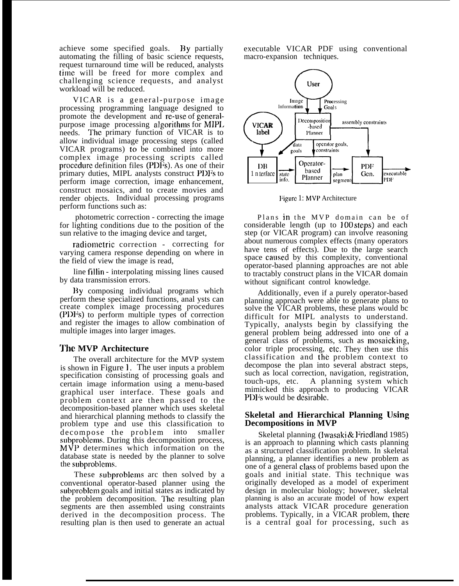achieve some specified goals. By partially automating the filling of basic science requests, request turnaround time will be reduced, analysts time will be freed for more complex and challenging science requests, and analyst workload will be reduced.

VICAR is a general-purpose image processing programming language designed to promote the development and re-use of generalpurpose image processing algorithms for MIPL needs. The primary function of VICAR is to allow individual image processing steps (called VICAR programs) to be combined into more complex image processing scripts called procedure definition files (PDFs). As one of their primary duties, MIPL analysts construct PDFs to perform image correction, image enhancement, construct mosaics, and to create movies and render objects. Individual processing programs perform functions such as:

photometric correction - correcting the image for lighting conditions due to the position of the sun relative to the imaging device and target,

radiometric correction - correcting for varying camera response depending on where in the field of view the image is read,

line fillin - interpolating missing lines caused by data transmission errors.

Hy composing individual programs which perform these specialized functions, anal ysts can create complex image processing procedures (PDFs) to perform multiple types of correction and register the images to allow combination of multiple images into larger images.

# **'J'hc MVP Architecture**

The overall architecture for the MVP system is shown in Figure 1. The user inputs a problem specification consisting of processing goals and certain image information using a menu-based graphical user interface. These goals and problem context are then passed to the decomposition-based planner which uses skeletal and hierarchical planning methods to classify the problem type and use this classification to decompose the problem into smaller subproblems. During this decomposition process, MVP determines which information on the database state is needed by the planner to solve the subproblems.

These subproblems arc then solved by a conventional operator-based planner using the subproblcm goals and initial states as indicated by the problem decomposition. The resulting plan segments are then assembled using constraints derived in the decomposition process. The resulting plan is then used to generate an actual executable VICAR PDF using conventional macro-expansion techniques.



Figarc 1: MVP Architecture

Plans in the MVP domain can be of considerable length (up to 100 steps) and each step (or VICAR program) can involve reasoning about numerous complex effects (many operators have tens of effects). Due to the large search space caused by this complexity, conventional operator-based planning approaches are not able to tractably construct plans in the VICAR domain without significant control knowledge.

Additionally, even if a purely operator-based planning approach were able to generate plans to solve the VICAR problems, these plans would bc difficult for MIPL analysts to understand. Typically, analysts begin by classifying the general problem being addressed into one of a general class of problems, such as mosaicking, color triple processing, etc. They then use this classification and the problem context to decompose the plan into several abstract steps, such as local correction, navigation, registration, touch-ups, etc. A planning system which mimicked this approach to producing VICAR PDF's would be desirable.

# **Skeletal and Hierarchical Planning tJsing Decompositions in MVP**

Skeletal planning (Iwasaki & Fricdland 1985) is an approach to planning which casts planning as a structured classification problem. In skeletal planning, a planner identifies a new problem as one of a general class of problems based upon the goals and initial state. This technique was originally developed as a model of experiment design in molecular biology; however, skeletal planning is also an accurate model of how expert analysts attack VICAR procedure generation problems. Typically, in a VICAR problem, there is a central goal for processing, such as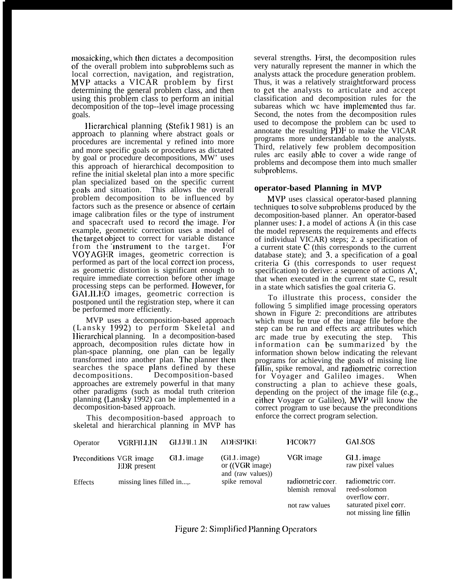mosaicking, which then dictates a decomposition of the overall problem into subproblems such as local correction, navigation, and registration, MVP attacks a VICAR problem by first determining the general problem class, and then using this problem class to perform an initial decomposition of the top--level image processing goals.

Ilierarchical planning (Stefik ] 981) is an approach to planning where abstract goals or procedures are incremental y refined into more and more specific goals or procedures as dictated by goal or procedure decompositions, MW' uses this approach of hierarchical decomposition to refine the initial skeletal plan into a more specific plan specialized based on the specific current goals and situation. This allows the overall problem decomposition to be influenced by factors such as the presence or absence of certain image calibration files or the type of instrument and spacecraft used to record the image. For example, geometric correction uses a model of the target object to correct for variable distance from the instrument to the target. For VOYAGER images, geometric correction is performed as part of the local correct ion process, as geometric distortion is significant enough to require immediate correction before other image processing steps can be performed. However, for GALILEO images, geometric correction is postponed until the registration step, where it can be performed more efficiently.

MVP uses a decomposition-based approach (Lansky 1992) to perform Skeletal and Hierarchical planning. In a decomposition-based approach, decomposition rules dictate how in plan-space planning, one plan can be legally transformed into another plan. The planner then searches the space plans defined by these decompositions. Decomposition-based approaches are extremely powerful in that many other paradigms (such as modal truth criterion planning (1.ansky 1992) can be implemented in a decomposition-based approach.

This decomposition-based approach to skeletal and hierarchical planning in MVP has

several strengths. First, the decomposition rules very naturally represent the manner in which the analysts attack the procedure generation problem. Thus, it was a relatively straightforward process to get the analysts to articulate and accept classification and decomposition rules for the subareas which wc have implemented thus far. Second, the notes from the decomposition rules used to decompose the problem can bc used to annotate the resulting PDF to make the VICAR programs more understandable to the analysts. Third, relatively few problem decomposition rules arc easily able to cover a wide range of problems and decompose them into much smaller subproblcms.

# **operator-based Planning in MVP**

MVP uses classical operator-based planning techniques to solve subproblems produced by the decomposition-based planner. An operator-based planner uses: 1. a model of actions  $\hat{A}$  (in this case the model represents the requirements and effects of individual VICAR) steps; 2. a specification of a current state C (this corresponds to the current database state); and  $3$  a specification of a goal criteria G (this corresponds to user request specification) to derive: a sequence of actions A', that when executed in the current state C, result in a state which satisfies the goal criteria G.

To illustrate this process, consider the following 5 simplified image processing operators shown in Figure 2: preconditions are attributes which must be true of the image file before the step can be run and effects arc attributes which arc made true by executing the step. This information can bc summarized by the information shown below indicating the relevant programs for achieving the goals of missing line fillin, spike removal, and radiomctric correction for Voyager and Galileo images. When constructing a plan to achieve these goals, depending on the project of the image file (e.g., either Voyager or Galileo), MVP will know the correct program to use because the preconditions enforce the correct program selection.

| Operator                | VGRFILLIN                 | <b>GLLFILL JN</b> | <b>ADESPIKE</b>                                            | FICOR77                              | <b>GALSOS</b>                                       |
|-------------------------|---------------------------|-------------------|------------------------------------------------------------|--------------------------------------|-----------------------------------------------------|
| Preconditions VGR image | <b>EDR</b> present        | GLL image         | $(GL)$ image)<br>or $(_VGR \, image)$<br>and (raw values)) | VGR image                            | GLL image<br>raw pixel values                       |
| <b>Effects</b>          | missing lines filled in,. |                   | spike removal                                              | radiometric corr.<br>blemish removal | radiometric corr.<br>reed-solomon<br>overflow corr. |
|                         |                           |                   |                                                            | not raw values                       | saturated pixel corr.<br>not missing line fillin    |

Figure 2: Simplified Planning Operators